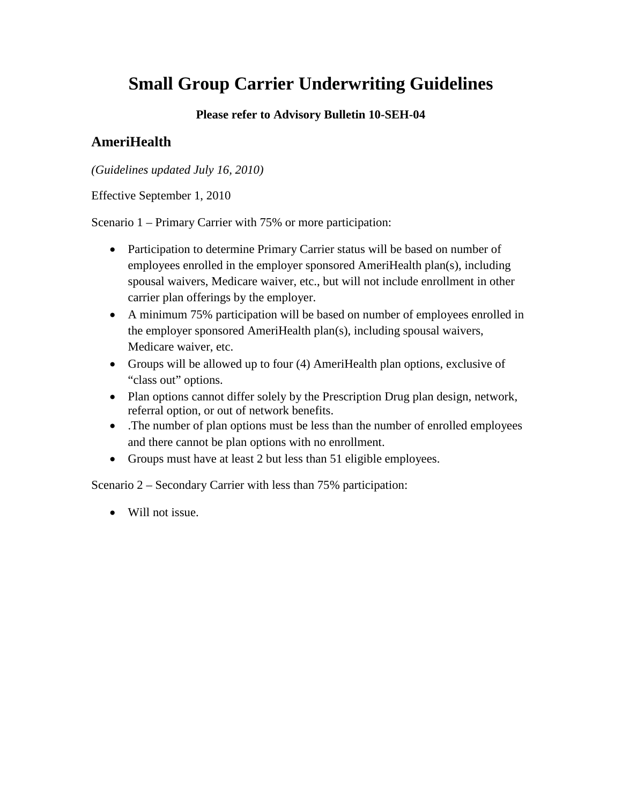## **Please refer to Advisory Bulletin 10-SEH-04**

# **AmeriHealth**

*(Guidelines updated July 16, 2010)*

Effective September 1, 2010

Scenario 1 – Primary Carrier with 75% or more participation:

- Participation to determine Primary Carrier status will be based on number of employees enrolled in the employer sponsored AmeriHealth plan(s), including spousal waivers, Medicare waiver, etc., but will not include enrollment in other carrier plan offerings by the employer.
- A minimum 75% participation will be based on number of employees enrolled in the employer sponsored AmeriHealth plan(s), including spousal waivers, Medicare waiver, etc.
- Groups will be allowed up to four (4) AmeriHealth plan options, exclusive of "class out" options.
- Plan options cannot differ solely by the Prescription Drug plan design, network, referral option, or out of network benefits.
- The number of plan options must be less than the number of enrolled employees and there cannot be plan options with no enrollment.
- Groups must have at least 2 but less than 51 eligible employees.

Scenario 2 – Secondary Carrier with less than 75% participation:

• Will not issue.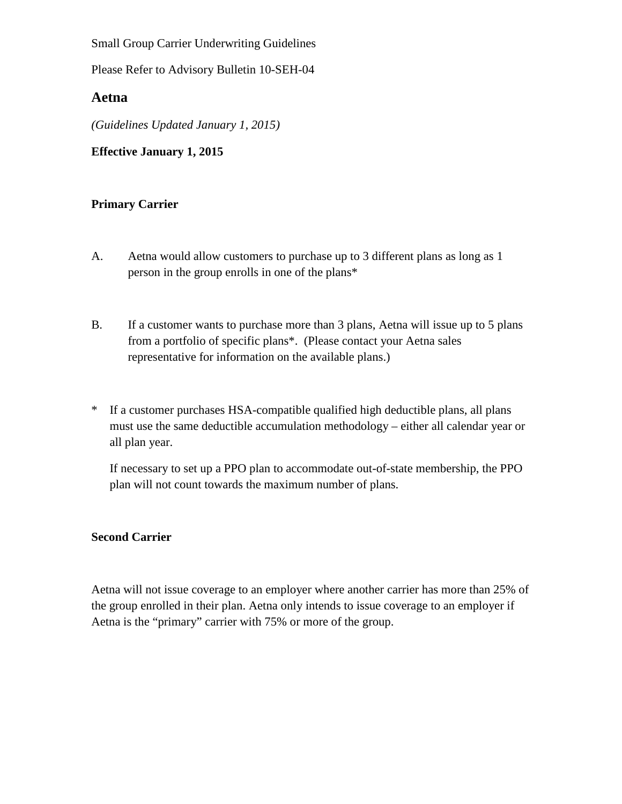Please Refer to Advisory Bulletin 10-SEH-04

## **Aetna**

*(Guidelines Updated January 1, 2015)*

**Effective January 1, 2015** 

#### **Primary Carrier**

- A. Aetna would allow customers to purchase up to 3 different plans as long as 1 person in the group enrolls in one of the plans\*
- B. If a customer wants to purchase more than 3 plans, Aetna will issue up to 5 plans from a portfolio of specific plans\*. (Please contact your Aetna sales representative for information on the available plans.)
- \* If a customer purchases HSA-compatible qualified high deductible plans, all plans must use the same deductible accumulation methodology – either all calendar year or all plan year.

If necessary to set up a PPO plan to accommodate out-of-state membership, the PPO plan will not count towards the maximum number of plans.

#### **Second Carrier**

Aetna will not issue coverage to an employer where another carrier has more than 25% of the group enrolled in their plan. Aetna only intends to issue coverage to an employer if Aetna is the "primary" carrier with 75% or more of the group.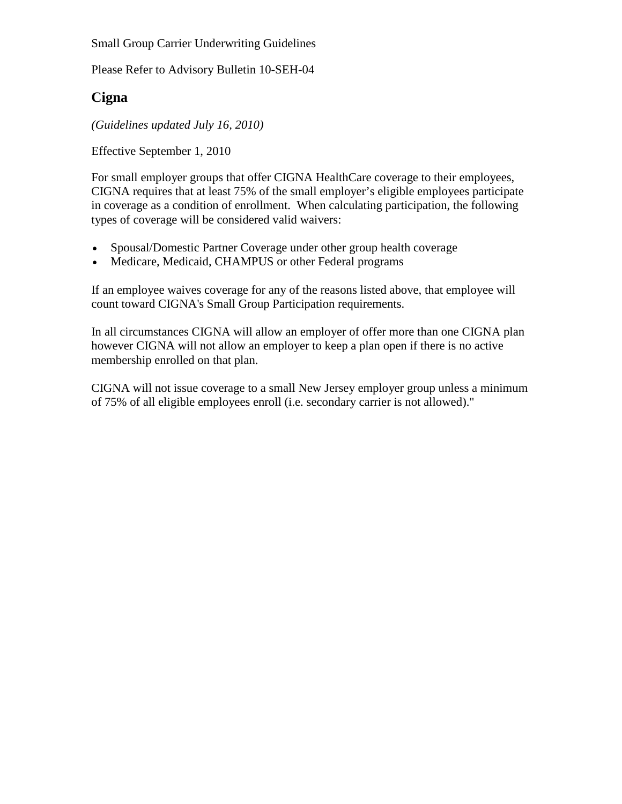Please Refer to Advisory Bulletin 10-SEH-04

# **Cigna**

*(Guidelines updated July 16, 2010)*

Effective September 1, 2010

For small employer groups that offer CIGNA HealthCare coverage to their employees, CIGNA requires that at least 75% of the small employer's eligible employees participate in coverage as a condition of enrollment. When calculating participation, the following types of coverage will be considered valid waivers:

- Spousal/Domestic Partner Coverage under other group health coverage
- Medicare, Medicaid, CHAMPUS or other Federal programs

If an employee waives coverage for any of the reasons listed above, that employee will count toward CIGNA's Small Group Participation requirements.

In all circumstances CIGNA will allow an employer of offer more than one CIGNA plan however CIGNA will not allow an employer to keep a plan open if there is no active membership enrolled on that plan.

CIGNA will not issue coverage to a small New Jersey employer group unless a minimum of 75% of all eligible employees enroll (i.e. secondary carrier is not allowed)."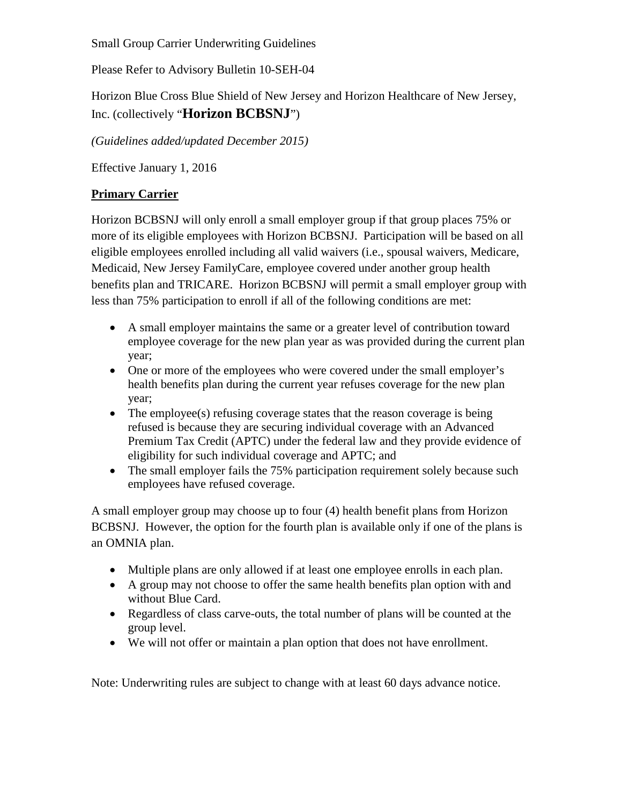Please Refer to Advisory Bulletin 10-SEH-04

Horizon Blue Cross Blue Shield of New Jersey and Horizon Healthcare of New Jersey, Inc. (collectively "**Horizon BCBSNJ**")

*(Guidelines added/updated December 2015)* 

Effective January 1, 2016

## **Primary Carrier**

Horizon BCBSNJ will only enroll a small employer group if that group places 75% or more of its eligible employees with Horizon BCBSNJ. Participation will be based on all eligible employees enrolled including all valid waivers (i.e., spousal waivers, Medicare, Medicaid, New Jersey FamilyCare, employee covered under another group health benefits plan and TRICARE. Horizon BCBSNJ will permit a small employer group with less than 75% participation to enroll if all of the following conditions are met:

- A small employer maintains the same or a greater level of contribution toward employee coverage for the new plan year as was provided during the current plan year;
- One or more of the employees who were covered under the small employer's health benefits plan during the current year refuses coverage for the new plan year;
- The employee(s) refusing coverage states that the reason coverage is being refused is because they are securing individual coverage with an Advanced Premium Tax Credit (APTC) under the federal law and they provide evidence of eligibility for such individual coverage and APTC; and
- The small employer fails the 75% participation requirement solely because such employees have refused coverage.

A small employer group may choose up to four (4) health benefit plans from Horizon BCBSNJ. However, the option for the fourth plan is available only if one of the plans is an OMNIA plan.

- Multiple plans are only allowed if at least one employee enrolls in each plan.
- A group may not choose to offer the same health benefits plan option with and without Blue Card.
- Regardless of class carve-outs, the total number of plans will be counted at the group level.
- We will not offer or maintain a plan option that does not have enrollment.

Note: Underwriting rules are subject to change with at least 60 days advance notice.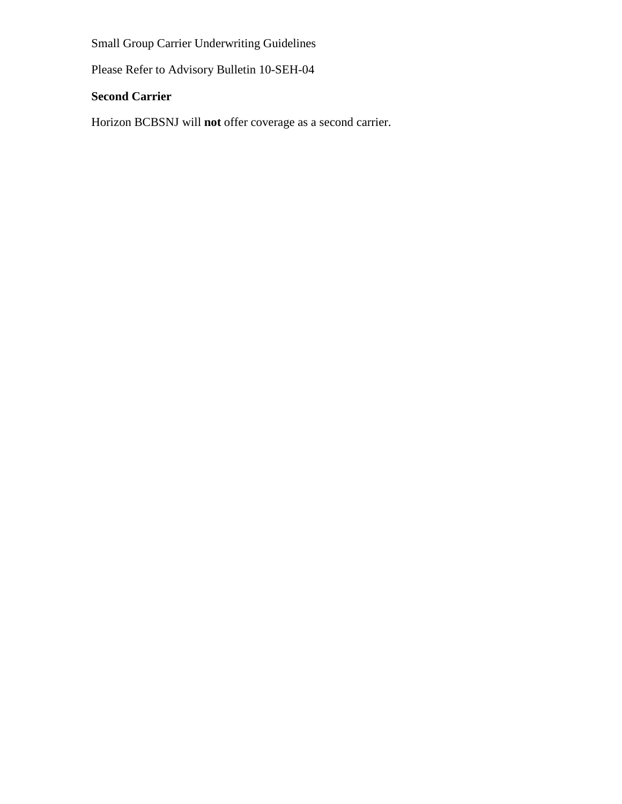Please Refer to Advisory Bulletin 10-SEH-04

## **Second Carrier**

Horizon BCBSNJ will **not** offer coverage as a second carrier.